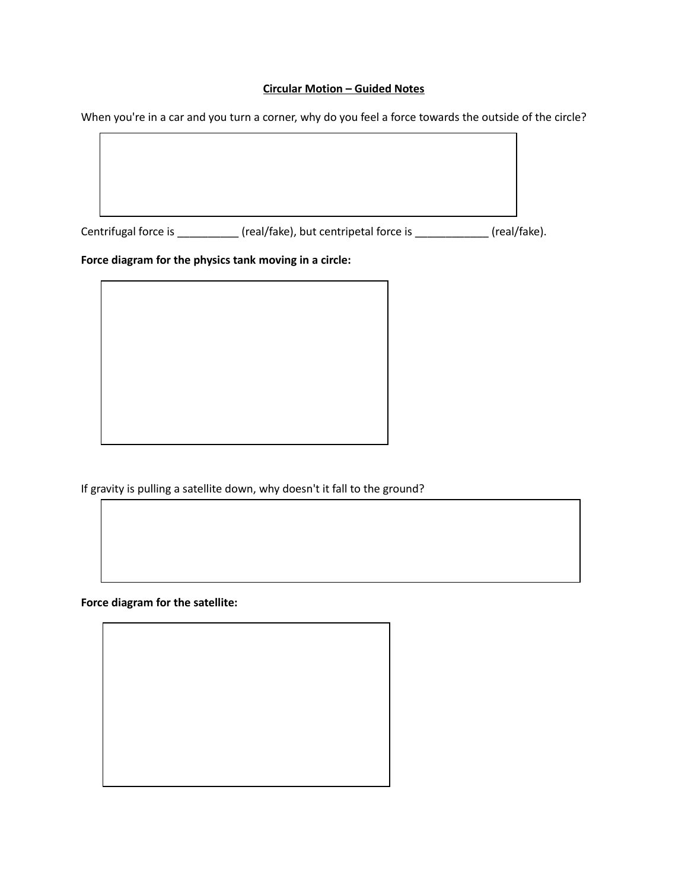#### **Circular Motion – Guided Notes**

When you're in a car and you turn a corner, why do you feel a force towards the outside of the circle?



If gravity is pulling a satellite down, why doesn't it fall to the ground?

**Force diagram for the satellite:**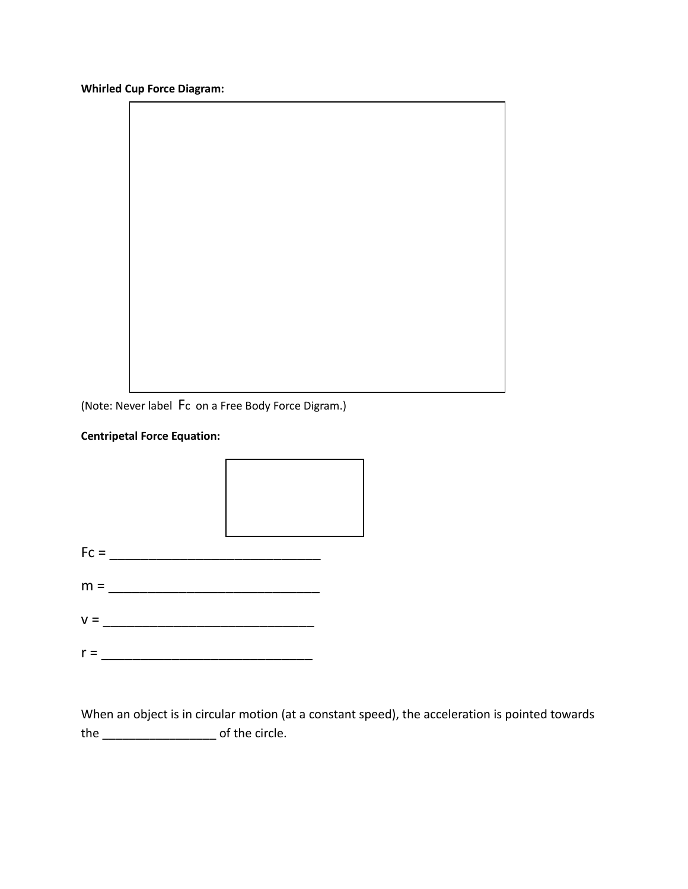**Whirled Cup Force Diagram:**

(Note: Never label Fc on a Free Body Force Digram.)

#### **Centripetal Force Equation:**



When an object is in circular motion (at a constant speed), the acceleration is pointed towards the \_\_\_\_\_\_\_\_\_\_\_\_\_\_\_\_\_ of the circle.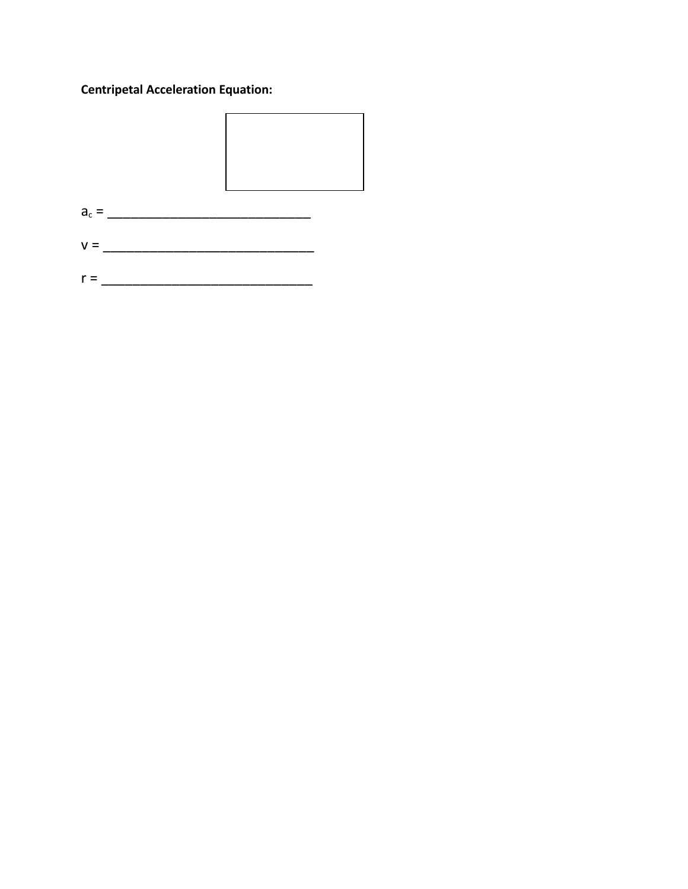# **Centripetal Acceleration Equation:**



- 
-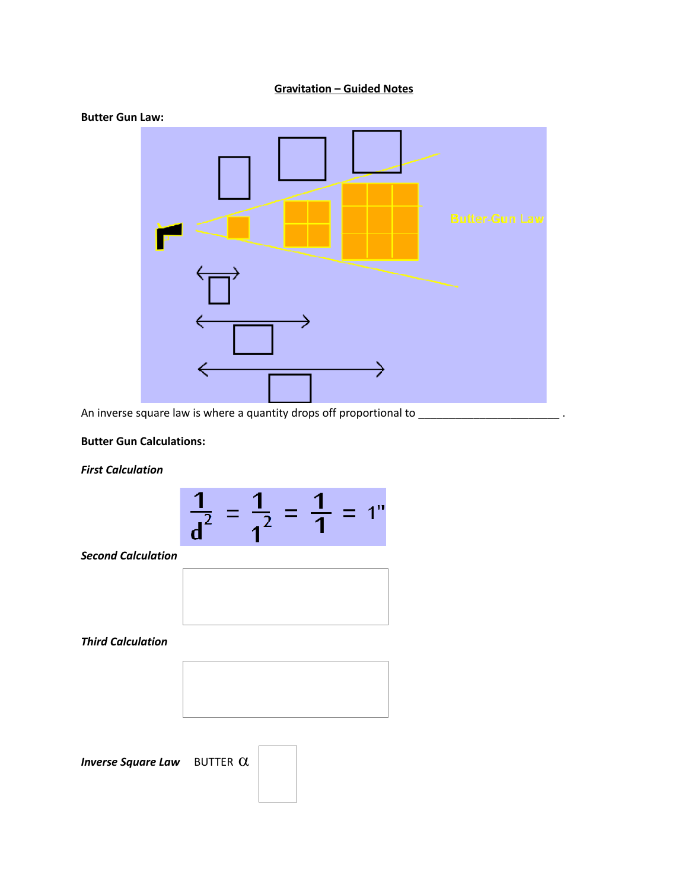### **Gravitation – Guided Notes**



#### An inverse square law is where a quantity drops off proportional to \_\_\_\_\_\_\_\_\_\_\_\_\_\_\_\_\_\_\_\_\_\_\_\_\_\_\_\_\_\_\_.

#### **Butter Gun Calculations:**

#### *First Calculation*



*Second Calculation*



*Third Calculation*



*Inverse Square Law* BUTTER  $\alpha$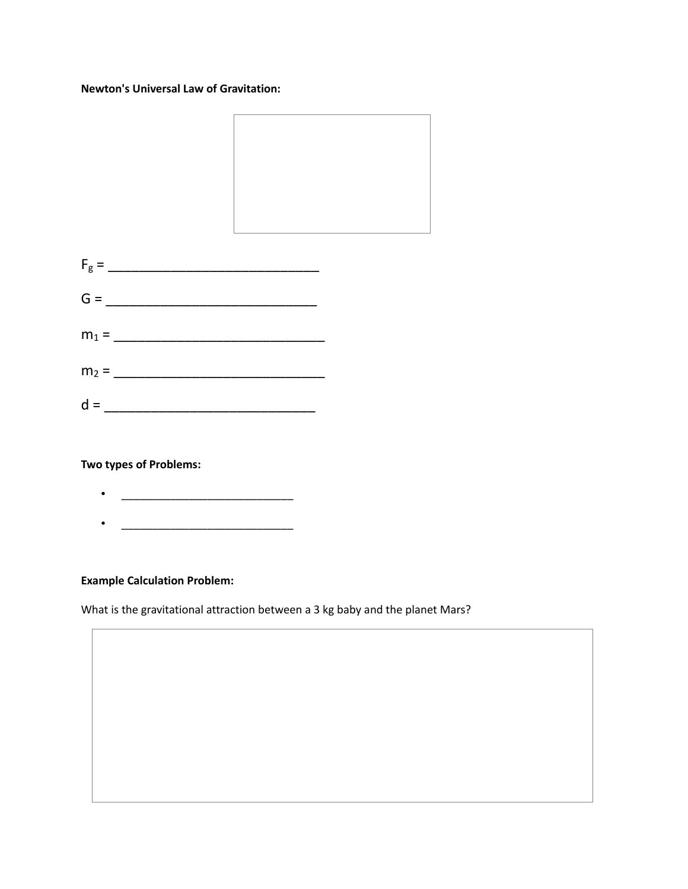#### **Newton's Universal Law of Gravitation:**



**Two types of Problems:**

 $\bullet$   $\qquad \qquad$  $\bullet$   $\qquad \qquad \qquad$   $\qquad$   $\qquad$   $\qquad$   $\qquad$   $\qquad$   $\qquad$   $\qquad$   $\qquad$   $\qquad$   $\qquad$   $\qquad$   $\qquad$   $\qquad$   $\qquad$   $\qquad$   $\qquad$   $\qquad$   $\qquad$   $\qquad$   $\qquad$   $\qquad$   $\qquad$   $\qquad$   $\qquad$   $\qquad$   $\qquad$   $\qquad$   $\qquad$   $\qquad$   $\qquad$   $\qquad$   $\qquad$   $\qquad$   $\$ 

#### **Example Calculation Problem:**

What is the gravitational attraction between a 3 kg baby and the planet Mars?